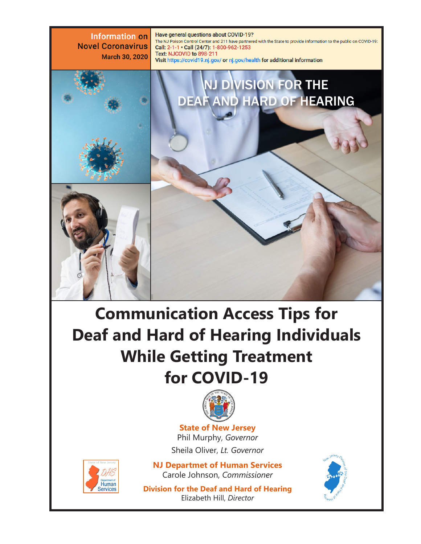

# **Communication Access Tips for Deaf and Hard of Hearing Individuals While Getting Treatment for COVID-19**



**State of New Jersey** Phil Murphy, *Governor* Sheila Oliver, *Lt. Governor*



**NJ Departmet of Human Services** Carole Johnson, *Commissioner*

**Division for the Deaf and Hard of Hearing** Elizabeth Hill, *Director*

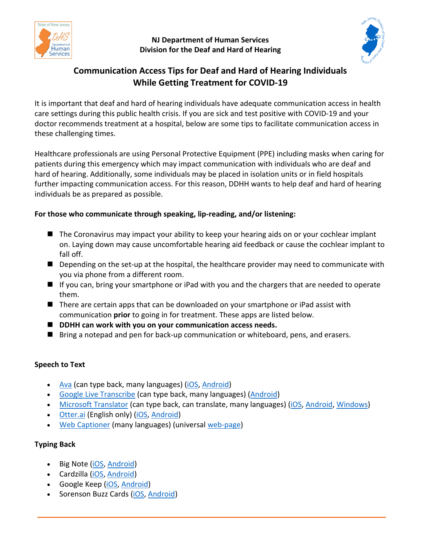

#### **NJ Department of Human Services Division for the Deaf and Hard of Hearing**



# **Communication Access Tips for Deaf and Hard of Hearing Individuals While Getting Treatment for COVID-19**

It is important that deaf and hard of hearing individuals have adequate communication access in health care settings during this public health crisis. If you are sick and test positive with COVID-19 and your doctor recommends treatment at a hospital, below are some tips to facilitate communication access in these challenging times.

Healthcare professionals are using Personal Protective Equipment (PPE) including masks when caring for patients during this emergency which may impact communication with individuals who are deaf and hard of hearing. Additionally, some individuals may be placed in isolation units or in field hospitals further impacting communication access. For this reason, DDHH wants to help deaf and hard of hearing individuals be as prepared as possible.

#### **For those who communicate through speaking, lip-reading, and/or listening:**

- The Coronavirus may impact your ability to keep your hearing aids on or your cochlear implant on. Laying down may cause uncomfortable hearing aid feedback or cause the cochlear implant to fall off.
- **Depending on the set-up at the hospital, the healthcare provider may need to communicate with** you via phone from a different room.
- If you can, bring your smartphone or iPad with you and the chargers that are needed to operate them.
- There are certain apps that can be downloaded on your smartphone or iPad assist with communication **prior** to going in for treatment. These apps are listed below.
- **DDHH can work with you on your communication access needs.**
- **Bring a notepad and pen for back-up communication or whiteboard, pens, and erasers.**

#### **Speech to Text**

- [Ava](https://www.ava.me/) (can type back, many languages) [\(iOS,](https://apps.apple.com/us/app/ava-communicate-beyond-barriers/id1030067058) [Android\)](https://play.google.com/store/apps/details?id=com.transcense.ava_beta)
- [Google Live Transcribe](https://www.android.com/accessibility/live-transcribe/) (can type back, many languages) [\(Android\)](https://play.google.com/store/apps/details?id=com.google.audio.hearing.visualization.accessibility.scribe&hl=en_US)
- [Microsoft Translator](https://www.microsoft.com/en-us/translator/) (can type back, can translate, many languages) [\(iOS,](https://itunes.apple.com/app/microsoft-translator/id1018949559) [Android,](https://play.google.com/store/apps/details?id=com.microsoft.translator) [Windows\)](https://www.microsoft.com/store/productId/9WZDNCRFJ3PG)
- [Otter.ai](https://otter.ai/) (English only) [\(iOS,](https://itunes.apple.com/us/app/otter-voice-notes/id1276437113) [Android\)](https://play.google.com/store/apps/details?id=com.aisense.otter)
- [Web Captioner](https://webcaptioner.com/) (many languages) (universal [web-page\)](https://webcaptioner.com/captioner)

### **Typing Back**

- Big Note [\(iOS,](https://apps.apple.com/us/app/big-note/id1448497055) [Android\)](https://play.google.com/store/apps/details?id=tashuapps.deafnote&hl=en_US)
- Cardzilla [\(iOS,](https://apps.apple.com/us/app/cardzilla/id623346823) [Android\)](https://play.google.com/store/apps/details?id=com.nulltone.cardzilla&hl=en_US)
- Google Keep [\(iOS,](https://apps.apple.com/us/app/google-keep-notes-and-lists/id1029207872) [Android\)](https://play.google.com/store/apps/details?id=com.google.android.keep&hl=en_US)
- Sorenson Buzz Cards [\(iOS,](https://apps.apple.com/us/app/sorenson-buzzcards/id380582593) [Android\)](https://play.google.com/store/apps/details?id=com.sorenson.buzzcards&hl=en_US)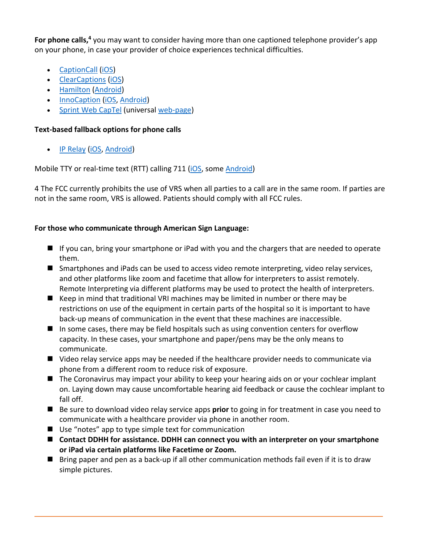For phone calls,<sup>4</sup> you may want to consider having more than one captioned telephone provider's app on your phone, in case your provider of choice experiences technical difficulties.

- [CaptionCall](https://captioncall.com/) [\(iOS\)](https://apps.apple.com/us/app/captioncall-mobile/id1313874713)
- [ClearCaptions](https://clearcaptions.com/) [\(iOS\)](https://apps.apple.com/us/app/clearcaptions-mobile/id1389230518)
- [Hamilton](https://hamiltoncaptel.com/) [\(Android\)](https://play.google.com/store/apps/details?id=com.hamilton.ui&hl=en_US)
- [InnoCaption](https://www.innocaption.com/) [\(iOS,](https://apps.apple.com/us/app/innocaption/id1333988644) [Android\)](https://play.google.com/store/apps/details?id=com.innocaption.vpdp&hl=en_US)
- [Sprint Web CapTel](https://sprintcaptel.com/products/webcaptel) (universal [web-page\)](https://portal.sprintcaptel.com/Register)

## **Text-based fallback options for phone calls**

• [IP Relay](https://www.sprintrelay.com/sprintiprelay) [\(iOS,](https://apps.apple.com/us/app/sprint-ip-relay/id542802329) [Android\)](https://play.google.com/store/apps/details?id=com.sprint.trs&hl=en_US)

Mobile TTY or real-time text (RTT) calling 711 [\(iOS,](https://support.apple.com/en-us/HT207033) some [Android\)](https://support.google.com/accessibility/android/answer/9042284?hl=en)

4 The FCC currently prohibits the use of VRS when all parties to a call are in the same room. If parties are not in the same room, VRS is allowed. Patients should comply with all FCC rules.

## **For those who communicate through American Sign Language:**

- If you can, bring your smartphone or iPad with you and the chargers that are needed to operate them.
- Smartphones and iPads can be used to access video remote interpreting, video relay services, and other platforms like zoom and facetime that allow for interpreters to assist remotely. Remote Interpreting via different platforms may be used to protect the health of interpreters.
- $\blacksquare$  Keep in mind that traditional VRI machines may be limited in number or there may be restrictions on use of the equipment in certain parts of the hospital so it is important to have back-up means of communication in the event that these machines are inaccessible.
- $\blacksquare$  In some cases, there may be field hospitals such as using convention centers for overflow capacity. In these cases, your smartphone and paper/pens may be the only means to communicate.
- Video relay service apps may be needed if the healthcare provider needs to communicate via phone from a different room to reduce risk of exposure.
- The Coronavirus may impact your ability to keep your hearing aids on or your cochlear implant on. Laying down may cause uncomfortable hearing aid feedback or cause the cochlear implant to fall off.
- Be sure to download video relay service apps **prior** to going in for treatment in case you need to communicate with a healthcare provider via phone in another room.
- Use "notes" app to type simple text for communication
- Contact DDHH for assistance. DDHH can connect you with an interpreter on your smartphone **or iPad via certain platforms like Facetime or Zoom.**
- $\blacksquare$  Bring paper and pen as a back-up if all other communication methods fail even if it is to draw simple pictures.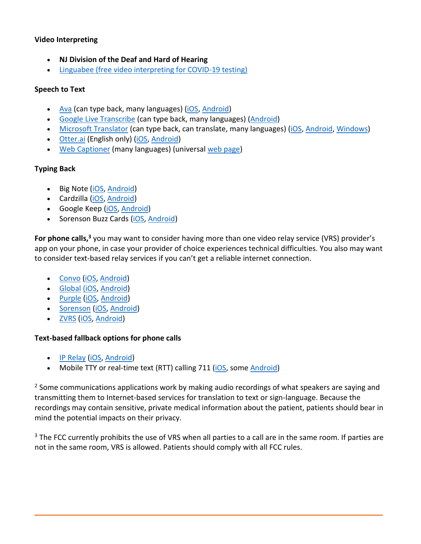#### **Video Interpreting**

- **NJ Division of the Deaf and Hard of Hearing**
- [Linguabee \(free video interpreting for COVID-19 testing\)](https://www.linguabee.com/covid19/free-vri)

#### **Speech to Text**

- [Ava](https://www.ava.me/) (can type back, many languages) [\(iOS,](https://apps.apple.com/us/app/ava-communicate-beyond-barriers/id1030067058) [Android\)](https://play.google.com/store/apps/details?id=com.transcense.ava_beta)
- [Google Live Transcribe](https://www.android.com/accessibility/live-transcribe/) (can type back, many languages) [\(Android\)](https://play.google.com/store/apps/details?id=com.google.audio.hearing.visualization.accessibility.scribe&hl=en_US)
- [Microsoft Translator](https://www.microsoft.com/en-us/translator/) (can type back, can translate, many languages) [\(iOS,](https://itunes.apple.com/app/microsoft-translator/id1018949559) [Android,](https://play.google.com/store/apps/details?id=com.microsoft.translator) [Windows\)](https://www.microsoft.com/store/productId/9WZDNCRFJ3PG)
- [Otter.ai](https://otter.ai/) (English only) [\(iOS,](https://itunes.apple.com/us/app/otter-voice-notes/id1276437113) [Android\)](https://play.google.com/store/apps/details?id=com.aisense.otter)
- [Web Captioner](https://webcaptioner.com/) (many languages) (universal [web page\)](https://webcaptioner.com/captioner)

#### **Typing Back**

- Big Note [\(iOS,](https://apps.apple.com/us/app/big-note/id1448497055) [Android\)](https://play.google.com/store/apps/details?id=tashuapps.deafnote&hl=en_US)
- Cardzilla [\(iOS,](https://apps.apple.com/us/app/cardzilla/id623346823) [Android\)](https://play.google.com/store/apps/details?id=com.nulltone.cardzilla&hl=en_US)
- Google Keep [\(iOS,](https://apps.apple.com/us/app/google-keep-notes-and-lists/id1029207872) [Android\)](https://play.google.com/store/apps/details?id=com.google.android.keep&hl=en_US)
- Sorenson Buzz Cards [\(iOS,](https://apps.apple.com/us/app/sorenson-buzzcards/id380582593) [Android\)](https://play.google.com/store/apps/details?id=com.sorenson.buzzcards&hl=en_US)

For phone calls,<sup>3</sup> you may want to consider having more than one video relay service (VRS) provider's app on your phone, in case your provider of choice experiences technical difficulties. You also may want to consider text-based relay services if you can't get a reliable internet connection.

- [Convo](https://www.convorelay.com/) [\(iOS,](https://apps.apple.com/us/app/convo-vrs/id423121946) [Android\)](https://play.google.com/store/apps/details?id=com.convorelay.convomobile&hl=en_US)
- [Global](https://globalvrs.com/) [\(iOS,](https://apps.apple.com/us/app/gxpro-mobile/id900467675) [Android\)](https://play.google.com/store/apps/details?id=se.nwise.mymmx.mobile.globalvrs&hl=en_US)
- [Purple](https://www.purplevrs.com/) [\(iOS,](https://apps.apple.com/us/app/p3-mobile/id432523572) [Android\)](https://play.google.com/store/apps/details?id=us.purple.purplevrs&hl=en_US)
- [Sorenson](https://www.sorensonvrs.com/) [\(iOS,](https://apps.apple.com/us/app/ntouch/id441554954) [Android\)](https://play.google.com/store/apps/details?id=com.sorenson.mvrs.android&hl=en_US)
- [ZVRS](https://www.zvrs.com/) [\(iOS,](https://apps.apple.com/us/app/z5-mobile/id415488663) [Android\)](https://play.google.com/store/apps/details?id=com.zvrs.z5mobile&hl=en_US)

#### **Text-based fallback options for phone calls**

- [IP Relay](https://www.sprintrelay.com/sprintiprelay) [\(iOS,](https://apps.apple.com/us/app/sprint-ip-relay/id542802329) [Android\)](https://play.google.com/store/apps/details?id=com.sprint.trs&hl=en_US)
- Mobile TTY or real-time text (RTT) calling 711 [\(iOS,](https://support.apple.com/en-us/HT207033) some [Android\)](https://support.google.com/accessibility/android/answer/9042284?hl=en)

 $2$  Some communications applications work by making audio recordings of what speakers are saying and transmitting them to Internet-based services for translation to text or sign-language. Because the recordings may contain sensitive, private medical information about the patient, patients should bear in mind the potential impacts on their privacy.

<sup>3</sup> The FCC currently prohibits the use of VRS when all parties to a call are in the same room. If parties are not in the same room, VRS is allowed. Patients should comply with all FCC rules.